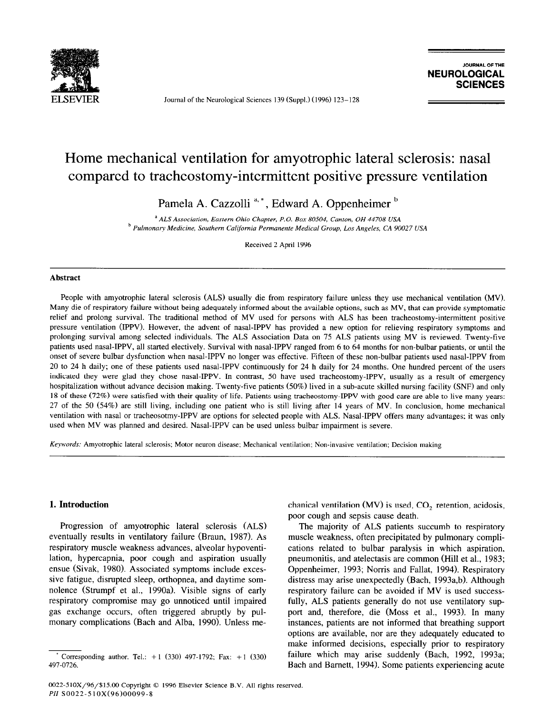

Journal of the Neurological Sciences 139 (Suppl.) (1996) 123-128

JOURNAL OF THE NEUROLOGICAL **SCIENCES** 

# Home mechanical ventilation for amyotrophic lateral sclerosis: nasal compared to tracheostomy-intermittent positive pressure ventilation

Pamela A. Cazzolli  $a^*$ , Edward A. Oppenheimer  $b$ 

<sup>a</sup> ALS Association, Eastern Ohio Chapter, P.O. Box 80504, Canton, OH 44708 USA b Pulmonary Medicine, Southern California Permanente Medical Group, Los Angeles, CA 90027 USA

Received 2 April 1996

#### Abstract

People with amyotrophic lateral sclerosis (ALS) usually die from respiratory failure unless they use mechanical ventilation (MV). Many die of respiratory failure without being adequately informed about the available options, such as MV, that can provide symptomatic relief and prolong survival. The traditional method of MV used for persons with ALS has been tracheostomy-intermittent positive pressure ventilation (IPPV). However, the advent of nasal-IPPV has provided a new option for relieving respiratory symptoms and prolonging survival among selected individuals. The ALS Association Data on 75 ALS patients using MV is reviewed. Twenty-five patients used nasal-IPPV, all started electively. Survival with nasal-IPPV ranged from 6 to 64 months for non-bulbar patients, or until the onset of severe bulbar dysfunction when nasal-IPPV no longer was effective. Fifteen of these non-bulbar patients used nasal-IPPV from 20 to 24 h daily; one of these patients used nasal-IPPV continuously for 24 h daily for 24 months. One hundred percent of the users indicated they were glad they chose nasal-IPPV. In contrast, 50 have used tracheostomy-IPPV, usually as a result of emergency hospitalization without advance decision making. Twenty-five patients (50%) lived in a sub-acute skilled nursing facility (SNF) and only 18 of these (72%) were satisfied with their quality of life. Patients using tracheostomy-IPPV with good care are able to live many years: 27 of the 50 (54%) are still living, including one patient who is still living after 14 years of MV. In conclusion, home mechanical ventilation with nasal or tracheosotmy-IPPV are options for selected people with ALS. Nasal-IPPV offers many advantages; it was only used when MV was planned and desired. Nasal-IPPV can be used unless bulbar impairment is severe.

Keywords: Amyotrophic lateral sclerosis; Motor neuron disease; Mechanical ventilation; Non-invasive ventilation; Decision making

### 1. Introduction

Progression of amyotrophic lateral sclerosis (ALS) eventually results in ventilatory failure (Braun, 1987). As respiratory muscle weakness advances, alveolar hypoventilation, hypercapnia, poor cough and aspiration usually ensue (Sivak, 1980). Associated symptoms include excessive fatigue, disrupted sleep, orthopnea, and daytime somnolence (Strumpf et al., 1990a). Visible signs of early respiratory compromise may go unnoticed until impaired gas exchange occurs, often triggered abruptly by pulmonary complications (Bach and Alba, 1990). Unless mechanical ventilation (MV) is used, CO, retention, acidosis, poor cough and sepsis cause death.

The majority of ALS patients succumb to respiratory muscle weakness, often precipitated by pulmonary complications related to bulbar paralysis in which aspiration, pneumonitis, and atelectasis are common (Hill et al., 1983; Oppenheimer, 1993; Norris and Fallat, 1994). Respiratory distress may arise unexpectedly (Bach, 1993a,b). Although respiratory failure can be avoided if MV is used successfully, ALS patients generally do not use ventilatory support and, therefore, die (Moss et al., 1993). In many instances, patients are not informed that breathing support options are available, nor are they adequately educated to make informed decisions, especially prior to respiratory failure which may arise suddenly (Bach, 1992, 1993a; Bach and Barnett, 1994). Some patients experiencing acute

Corresponding author. Tel.:  $+ 1 (330) 497-1792$ ; Fax:  $+ 1 (330)$ 497-0726.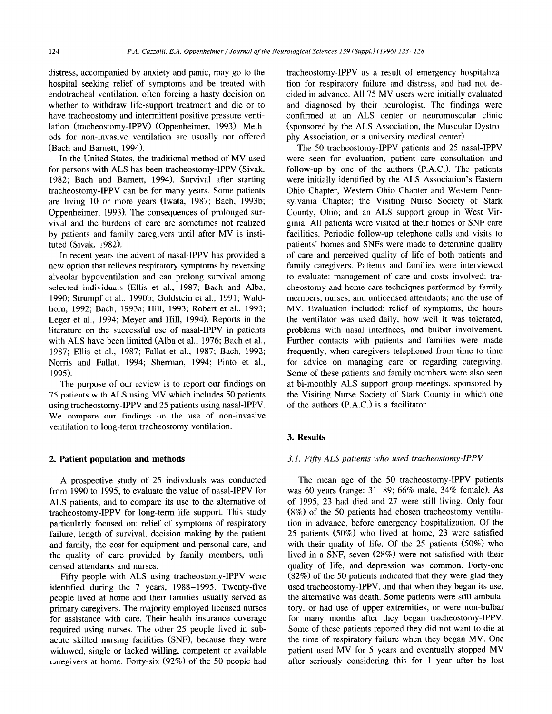distress, accompanied by anxiety and panic, may go to the hospital seeking relief of symptoms and be treated with endotracheal ventilation, often forcing a hasty decision on whether to withdraw life-support treatment and die or to have tracheostomy and intermittent positive pressure ventilation (tracheostomy-IPPV) (Oppenheimer, 1993). Methods for non-invasive ventilation are usually not offered (Bach and Barnett, 1994).

In the United States, the traditional method of MV used for persons with ALS has been tracheostomy-IPPV (Sivak, 1982; Bach and Bamett, 1994). Survival after starting tracheostomy-IPPV can be for many years. Some patients are living 10 or more years (Iwata, 1987; Bach, 1993b; Oppenheimer, 1993). The consequences of prolonged survival and the burdens of care are sometimes not realized by patients and family caregivers until after MV is instituted (Sivak, 1982).

In recent years the advent of nasal-IPPV has provided a new option that relieves respiratory symptoms by reversing alveolar hypoventilation and can prolong survival among selected individuals (Ellis et al., 1987; Bach and Alba, 1990; Strumpf et al., 1990b; Goldstein et al., 1991; Waldhorn, 1992; Bach, 1993a; Hill, 1993; Robert et al., 1993; Leger et al., 1994; Meyer and Hill, 1994). Reports in the literature on the successful use of nasal-IPPV in patients with ALS have been limited (Alba et al., 1976; Bach et al., 1987; Ellis et al., 1987; Fallat et al., 1987; Bach, 1992; Norris and Fallat, 1994; Sherman, 1994; Pinto et al., 1995).

The purpose of our review is to report our findings on 75 patients with ALS using MV which includes 50 patients using tracheostomy-IPPV and 25 patients using nasal-IPPV. We compare our findings on the use of non-invasive ventilation to long-term tracheostomy ventilation.

A prospective study of 25 individuals was conducted from 1990 to 1995, to evaluate the value of nasal-IPPV for ALS patients, and to compare its use to the alternative of tracheostomy-IPPV for long-term life support. This study particularly focused on: relief of symptoms of respiratory failure, length of survival, decision making by the patient and family, the cost for equipment and personal care, and the quality of care provided by family members, unlicensed attendants and nurses.

Fifty people with ALS using tracheostomy-IPPV were identified during the 7 years, 1988-1995. Twenty-five people lived at home and their families usually served as primary caregivers. The majority employed licensed nurses for assistance with care. Their health insurance coverage required using nurses. The other 25 people lived in subacute skilled nursing facilities (SNF), because they were widowed, single or lacked willing, competent or available caregivers at home. Forty-six (92%) of the 50 people had tracheostomy-IPPV as a result of emergency hospitalization for respiratory failure and distress, and had not decided in advance. All 75 MV users were initially evaluated and diagnosed by their neurologist. The findings were confirmed at an ALS center or neuromuscular clinic (sponsored by the ALS Association, the Muscular Dystrophy Association, or a university medical center).

The 50 tracheostomy-IPPV patients and 25 nasal-IPPV were seen for evaluation, patient care consultation and follow-up by one of the authors (P.A.C.). The patients were initially identified by the ALS Association's Eastern Ohio Chapter, Western Ohio Chapter and Western Pennsylvania Chapter; the Visiting Nurse Society of Stark County, Ohio; and an ALS support group in West Virginia. All patients were visited at their homes or SNF care facilities. Periodic follow-up telephone calls and visits to patients' homes and SNFs were made to determine quality of care and perceived quality of life of both patients and family caregivers. Patients and families were interviewed to evaluate: management of care and costs involved; tracheostomy and home care techniques performed by family members, nurses, and unlicensed attendants; and the use of MV. Evaluation included: relief of symptoms, the hours the ventilator was used daily, how well it was tolerated, problems with nasal interfaces, and bulbar involvement. Further contacts with patients and families were made frequently, when caregivers telephoned from time to time for advice on managing care or regarding caregiving. Some of these patients and family members were also seen at bi-monthly ALS support group meetings, sponsored by the Visiting Nurse Society of Stark County in which one of the authors (P.A.C.) is a facilitator.

# 3. Results

### 2. Patient population and methods 3.1. Fifty ALS patients who used tracheostomy-IPPV

The mean age of the 50 tracheostomy-IPPV patients was 60 years (range: 31-89; 66% male, 34% female). As of 1995, 23 had died and 27 were still living. Only four (8%) of the 50 patients had chosen tracheostomy ventilation in advance, before emergency hospitalization. Of the 25 patients (50%) who lived at home, 23 were satisfied with their quality of life. Of the 25 patients (50%) who lived in a SNF, seven (28%) were not satisfied with their quality of life, and depression was common. Forty-one (82%) of the 50 patients indicated that they were glad they used tracheostomy-IPPV, and that when they began its use, the alternative was death. Some patients were still ambulatory, or had use of upper extremities, or were non-bulbar for many months after they began tracheostomy-IPPV. Some of these patients reported they did not want to die at the time of respiratory failure when they began MV. One patient used MV for 5 years and eventually stopped MV after seriously considering this for 1 year after he lost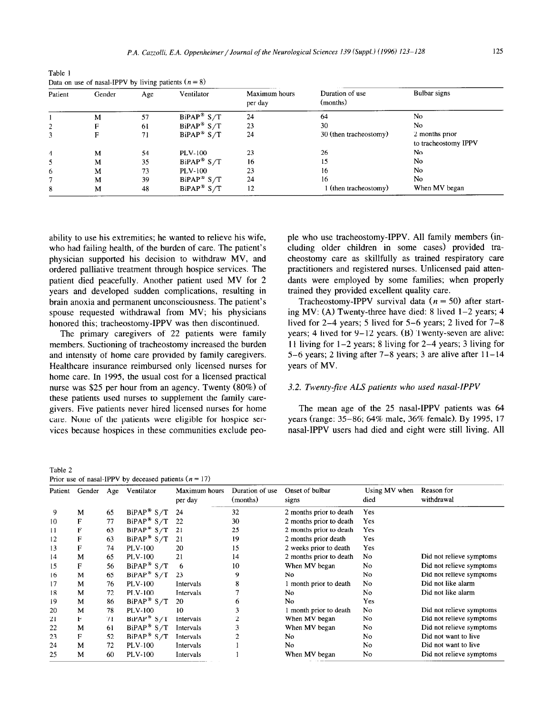| Patient        | Gender | Age | Ventilator            | Maximum hours<br>per day | Duration of use<br>(months) | Bulbar signs                           |  |
|----------------|--------|-----|-----------------------|--------------------------|-----------------------------|----------------------------------------|--|
|                | M      | 57  | $BiPAP^* S/T$         | 24                       | 64                          | No                                     |  |
| 2              | F      | 61  | $BiPAP^{\otimes} S/T$ | 23                       | 30                          | No                                     |  |
| 3              | F      | 71  | $BiPAP^*S/T$          | 24                       | 30 (then tracheostomy)      | 2 months prior<br>to tracheostomy IPPV |  |
| $\overline{4}$ | M      | 54  | <b>PLV-100</b>        | 23                       | 26                          | No                                     |  |
| 5              | M      | 35  | $BiPAP^*S/T$          | 16                       | 15                          | No                                     |  |
| 6              | M      | 73  | <b>PLV-100</b>        | 23                       | 16                          | No                                     |  |
|                | M      | 39  | $BiPAP^* S/T$         | 24                       | 16                          | N <sub>o</sub>                         |  |
| 8              | M      | 48  | $BiPAP^*S/T$          | 12                       | (then tracheostomy)         | When MV began                          |  |

Table 1  $\mathbf{D}$  is used to use on use  $\mathbf{D}$ 

ability to use his extremities; he wanted to relieve his wife, who had failing health, of the burden of care. The patient's physician supported his decision to withdraw MV, and ordered palliative treatment through hospice services. The patient died peacefully. Another patient used MV for 2 years and developed sudden complications, resulting in brain anoxia and permanent unconsciousness. The patient's spouse requested withdrawal from MV; his physicians honored this; tracheostomy-IPPV was then discontinued.

The primary caregivers of 22 patients were family members. Suctioning of tracheostomy increased the burden and intensity of home care provided by family caregivers. Healthcare insurance reimbursed only licensed nurses for home care. In 1995, the usual cost for a licensed practical nurse was \$25 per hour from an agency. Twenty (80%) of these patients used nurses to supplement the family caregivers. Five patients never hired licensed nurses for home care. None of the patients were eligible for hospice services because hospices in these communities exclude peo-

cluding older children in some cases) provided tracheostomy care as skillfully as trained respiratory care practitioners and registered nurses. Unlicensed paid attendants were employed by some families; when properly trained they provided excellent quality care. Tracheostomy-IPPV survival data ( $n = 50$ ) after start-

ple who use tracheostomy-IPPV. All family members (in-

ing MV: (A) Twenty-three have died: 8 lived  $1-2$  years; 4 lived for 2-4 years; 5 lived for 5-6 years; 2 lived for 7-8 years; 4 lived for 9-12 years. (B) Twenty-seven are alive: 11 living for l-2 years; 8 living for 2-4 years; 3 living for 5-6 years; 2 living after  $7-8$  years; 3 are alive after  $11-14$ years of MV.

## 3.2. Twenty-five ALS patients who used nasal-IPPV

The mean age of the 25 nasal-IPPV patients was 64 years (range: 35-86; 64% male, 36% female). By 1995, 17 nasal-IPPV users had died and eight were still living. All

Table 2 Prior use of nasal-IPPV by deceased patients ( $n = 17$ )

| Patient | Gender | Age | Ventilator                | Maximum hours<br>per day | Duration of use<br>(months) | Onset of bulbar<br>signs | Using MV when<br>died | Reason for<br>withdrawal |
|---------|--------|-----|---------------------------|--------------------------|-----------------------------|--------------------------|-----------------------|--------------------------|
| 9       | M      | 65  | $BiPAP^{\circledast} S/T$ | 24                       | 32                          | 2 months prior to death  | Yes                   |                          |
| 10      | F      | 77  | $BiPAP^*S/T$              | 22                       | 30                          | 2 months prior to death  | Yes                   |                          |
| 11      | F      | 63  | $BiPAP^@S/T$              | 21                       | 25                          | 2 months prior to death  | Yes                   |                          |
| 12      | F      | 63  | $BiPAP^*S/T$              | 21                       | 19                          | 2 months prior death     | <b>Yes</b>            |                          |
| 13      | F      | 74  | <b>PLV-100</b>            | 20                       | 15                          | 2 weeks prior to death   | <b>Yes</b>            |                          |
| 14      | M      | 65  | <b>PLV-100</b>            | 21                       | 14                          | 2 months prior to death  | No.                   | Did not relieve symptoms |
| 15      | F      | 56  | $BiPAP^*S/T$              | 6                        | 10                          | When MV began            | No.                   | Did not relieve symptoms |
| 16      | M      | 65  | $BiPAP^*S/T$              | 23                       | 9                           | No.                      | No.                   | Did not relieve symptoms |
| 17      | M      | 76  | <b>PLV-100</b>            | Intervals                | 8                           | 1 month prior to death   | No                    | Did not like alarm       |
| 18      | м      | 72  | <b>PLV-100</b>            | Intervals                |                             | No.                      | No.                   | Did not like alarm       |
| 19      | M      | 86  | $BiPAP^{\otimes} S/T$     | 20                       | 6                           | No.                      | Yes                   |                          |
| 20      | M      | 78  | PLV-100                   | 10                       |                             | 1 month prior to death   | No.                   | Did not relieve symptoms |
| 21      | F      | 71  | $BiPAP^*S/T$              | Intervals                |                             | When MV began            | N <sub>0</sub>        | Did not relieve symptoms |
| 22      | M      | 61  | $BiPAP^*S/T$              | Intervals                | 3                           | When MV began            | No.                   | Did not relieve symptoms |
| 23      | F      | 52  | $BiPAP^*S/T$              | <b>Intervals</b>         |                             | No                       | No.                   | Did not want to live     |
| 24      | M      | 72  | <b>PLV-100</b>            | Intervals                |                             | No.                      | No.                   | Did not want to live     |
| 25      | M      | 60  | <b>PLV-100</b>            | Intervals                |                             | When MV began            | No                    | Did not relieve symptoms |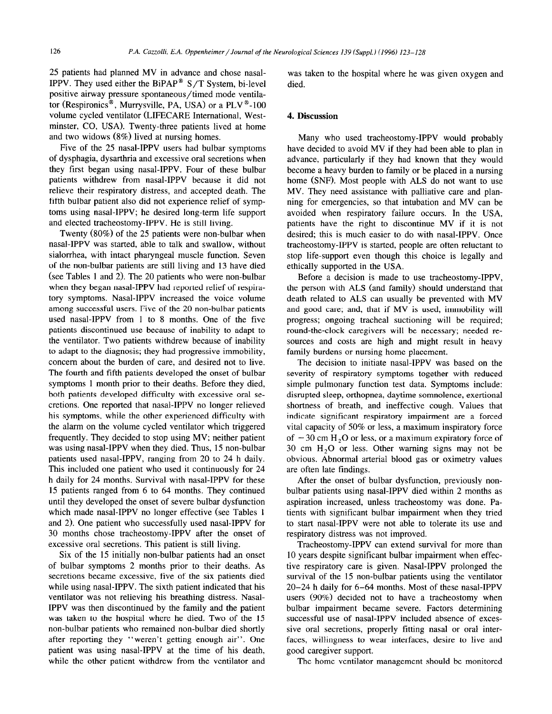25 patients had planned MV in advance and chose nasal-IPPV. They used either the BiPAP<sup>®</sup> S/T System, bi-level positive airway pressure spontaneous/timed mode ventilator (Respironics<sup>®</sup>, Murrysville, PA, USA) or a PLV<sup>®</sup>-100 volume cycled ventilator (LIFECARE International, Westminster, CO, USA). Twenty-three patients lived at home and two widows (8%) lived at nursing homes.

Five of the 25 nasal-IPPV users had bulbar symptoms of dysphagia, dysarthria and excessive oral secretions when they first began using nasal-IPPV. Four of these bulbar patients withdrew from nasal-IPPV because it did not relieve their respiratory distress, and accepted death. The fifth bulbar patient also did not experience relief of symptoms using nasal-IPPV; he desired long-term life support and elected tracheostomy-IPPV. He is still living.

Twenty (80%) of the 25 patients were non-bulbar when nasal-IPPV was started, able to talk and swallow, without sialorrhea, with intact pharyngeal muscle function. Seven of the non-bulbar patients are still living and 13 have died (see Tables 1 and 2). The 20 patients who were non-bulbar when they began nasal-IPPV had reported relief of respiratory symptoms. Nasal-IPPV increased the voice volume among successful users. Five of the 20 non-bulbar patients used nasal-IPPV from 1 to 8 months. One of the five patients discontinued use because of inability to adapt to the ventilator. Two patients withdrew because of inability to adapt to the diagnosis; they had progressive immobility, concern about the burden of care, and desired not to live. The fourth and fifth patients developed the onset of bulbar symptoms 1 month prior to their deaths. Before they died, both patients developed difficulty with excessive oral secretions. One reported that nasal-IPPV no longer relieved his symptoms, while the other experienced difficulty with the alarm on the volume cycled ventilator which triggered frequently. They decided to stop using MV; neither patient was using nasal-IPPV when they died. Thus, 15 non-bulbar patients used nasal-IPPV, ranging from 20 to 24 h daily. This included one patient who used it continuously for 24 h daily for 24 months. Survival with nasal-IPPV for these 15 patients ranged from 6 to 64 months. They continued until they developed the onset of severe bulbar dysfunction which made nasal-IPPV no longer effective (see Tables 1 and 2). One patient who successfully used nasal-IPPV for 30 months chose tracheostomy-IPPV after the onset of excessive oral secretions. This patient is still living.

Six of the 15 initially non-bulbar patients had an onset of bulbar symptoms 2 months prior to their deaths. As secretions became excessive, five of the six patients died while using nasal-IPPV. The sixth patient indicated that his ventilator was not relieving his breathing distress. Nasal-IPPV was then discontinued by the family and the patient was taken to the hospital where he died. Two of the 15 non-bulbar patients who remained non-bulbar died shortly after reporting they "weren't getting enough air". One patient was using nasal-IPPV at the time of his death, while the other patient withdrew from the ventilator and

was taken to the hospital where he was given oxygen and died.

#### 4. Discussion

Many who used tracheostomy-IPPV would probably have decided to avoid MV if they had been able to plan in advance, particularly if they had known that they would become a heavy burden to family or be placed in a nursing home (SNF). Most people with ALS do not want to use MV. They need assistance with palliative care and planning for emergencies, so that intubation and MV can be avoided when respiratory failure occurs. In the USA, patients have the right to discontinue MV if it is not desired; this is much easier to do with nasal-IPPV. Once tracheostomy-IPPV is started, people are often reluctant to stop life-support even though this choice is legally and ethically supported in the USA.

Before a decision is made to use tracheostomy-IPPV, the person with ALS (and family) should understand that death related to ALS can usually be prevented with MV and good care; and, that if MV is used, immobility will progress; ongoing tracheal suctioning will be required; round-the-clock caregivers will be necessary; needed resources and costs are high and might result in heavy family burdens or nursing home placement.

The decision to initiate nasal-IPPV was based on the severity of respiratory symptoms together with reduced simple pulmonary function test data. Symptoms include: disrupted sleep, orthopnea, daytime somnolence, exertional shortness of breath, and ineffective cough. Values that indicate significant respiratory impairment are a forced vital capacity of 50% or less, a maximum inspiratory force of  $-30$  cm H<sub>2</sub>O or less, or a maximum expiratory force of 30 cm H,O or less. Other warning signs may not be obvious. Abnormal arterial blood gas or oximetry values are often late findings.

After the onset of bulbar dysfunction, previously nonbulbar patients using nasal-IPPV died within 2 months as aspiration increased, unless tracheostomy was done. Patients with significant bulbar impairment when they tried to start nasal-IPPV were not able to tolerate its use and respiratory distress was not improved.

Tracheostomy-IPPV can extend survival for more than 10 years despite significant bulbar impairment when effective respiratory care is given. Nasal-IPPV prolonged the survival of the 15 non-bulbar patients using the ventilator 20-24 h daily for 6-64 months. Most of these nasal-IPPV users (90%) decided not to have a tracheostomy when bulbar impairment became severe. Factors determining successful use of nasal-IPPV included absence of excessive oral secretions, properly fitting nasal or oral interfaces, willingness to wear interfaces, desire to live and good caregiver support.

The home ventilator management should be monitored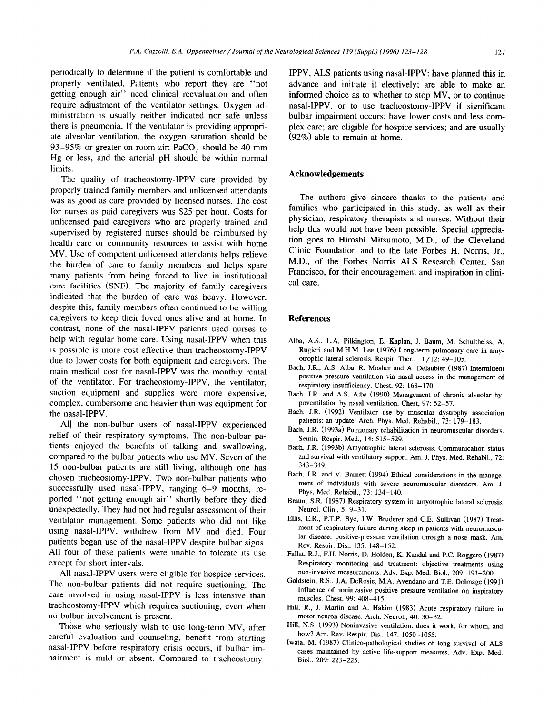periodically to determine if the patient is comfortable and properly ventilated. Patients who report they are "not getting enough air" need clinical reevaluation and often require adjustment of the ventilator settings. Oxygen administration is usually neither indicated nor safe unless there is pneumonia. If the ventilator is providing appropriate alveolar ventilation, the oxygen saturation should be 93-95% or greater on room air; PaCO, should be 40 mm Hg or less, and the arterial pH should be within normal limits.

The quality of tracheostomy-IPPV care provided by properly trained family members and unlicensed attendants was as good as care provided by licensed nurses. The cost for nurses as paid caregivers was \$25 per hour. Costs for unlicensed paid caregivers who are properly trained and supervised by registered nurses should be reimbursed by health care or community resources to assist with home MV. Use of competent unlicensed attendants helps relieve the burden of care to family members and helps spare many patients from being forced to live in institutional care facilities (SNF). The majority of family caregivers indicated that the burden of care was heavy. However, despite this, family members often continued to be willing caregivers to keep their loved ones alive and at home. In contrast, none of the nasal-IPPV patients used nurses to help with regular home care. Using nasal-IPPV when this is possible is more cost effective than tracheostomy-IPPV due to lower costs for both equipment and caregivers. The main medical cost for nasal-IPPV was the monthly rental of the ventilator. For tracheostomy-IPPV, the ventilator, suction equipment and supplies were more expensive, complex, cumbersome and heavier than was equipment for the nasal-IPPV.

All the non-bulbar users of nasal-IPPV experienced relief of their respiratory symptoms. The non-bulbar patients enjoyed the benefits of talking and swallowing, compared to the bulbar patients who use MV. Seven of the 15 non-bulbar patients are still living, although one has chosen tracheostomy-IPPV. Two non-bulbar patients who successfully used nasal-IPPV, ranging 6-9 months, reported "not getting enough air" shortly before they died unexpectedly. They had not had regular assessment of their ventilator management. Some patients who did not like using nasal-IPPV, withdrew from MV and died. Four patients began use of the nasal-IPPV despite bulbar signs. All four of these patients were unable to tolerate its use except for short intervals.

All nasal-IPPV users were eligible for hospice services. The non-bulbar patients did not require suctioning. The care involved in using nasal-IPPV is less intensive than tracheostomy-IPPV which requires suctioning, even when no bulbar involvement is present.

Those who seriously wish to use long-term MV, after careful evaluation and counseling, benefit from starting nasal-IPPV before respiratory crisis occurs, if bulbar impairment is mild or absent. Compared to tracheostomyIPPV, ALS patients using nasal-IPPV: have planned this in advance and initiate it electively; are able to make an informed choice as to whether to stop MV, or to continue nasal-IPPV, or to use tracheostomy-IPPV if significant bulbar impairment occurs; have lower costs and less complex care; are eligible for hospice services; and are usually (92%) able to remain at home.

# Acknowledgements

The authors give sincere thanks to the patients and families who participated in this study, as well as their physician, respiratory therapists and nurses. Without their help this would not have been possible. Special appreciation goes to Hiroshi Mitsumoto, M.D., of the Cleveland Clinic Foundation and to the late Forbes H. Norris, Jr., M.D., of the Forbes Norris ALS Research Center, San Francisco, for their encouragement and inspiration in clinical care.

#### References

- Alba, A.S., L.A. Pilkington, E. Kaplan, J. Baum, M. Schultheiss, A. Rugieri and M.H.M. Lee (1976) Long-term pulmonary care in amyotrophic lateral sclerosis. Respir. Ther., 11/12: 49-105.
- Bach, J.R., A.S. Alba, R. Mosher and A. Delaubier (1987) Intermittent positive pressure ventilation via nasal access in the management of respiratory insufficiency. Chest, 92: 168-170.
- Bach, J.R. and A.S. Alba (1990) Management of chronic alveolar hypoventilation by nasal ventilation. Chest, 97: 52-57.
- Bach, J.R. (1992) Ventilator use by muscular dystrophy association patients: an update. Arch. Phys. Med. Rehabil., 73: 179-183.
- Bach, J.R. (1993a) Pulmonary rehabilitation in neuromuscular disorders. Semin. Respir. Med., 14: 515-529.
- Bach, J.R. (1993b) Amyotrophic lateral sclerosis. Communication status and survival with ventilatory support. Am. J. Phys. Med. Rehabil., 72: 343-349.
- Bach, J.R. and V. Bamett (1994) Ethical considerations in the management of individuals with severe neuromuscular disorders. Am. J. Phys. Med. Rehabil., 73: 134-140.
- Braun, S.R. (1987) Respiratory system in amyotrophic lateral sclerosis. Neurol. Clin., 5: 9-31.
- Ellis, E.R., P.T.P. Bye, J.W. Bruderer and C.E. Sullivan (1987) Treatment of respiratory failure during sleep in patients with neuromuscular disease: positive-pressure ventilation through a nose mask. Am. Rev. Respir. Dis., 135: 148-152.
- Fallat, R.J., F.H. Norris, D. Holden, K. Kandal and P.C. Roggero (1987) Respiratory monitoring and treatment: objective treatments using non-invasive measurements. Adv. Exp. Med. Biol., 209: 191-200.
- Goldstein, R.S., J.A. DeRosie, M.A. Avendano and T.E. Dolmage (1991) Influence of noninvasive positive pressure ventilation on inspiratory muscles. Chest, 99: 408-415.
- Hill, R., J. Martin and A. Hakim (1983) Acute respiratory failure in motor neuron disease. Arch. Neurol., 40: 30-32.
- Hill, N.S. (1993) Noninvasive ventilation: does it work, for whom, and how? Am. Rev. Respir. Dis., 147: 1050-1055.
- Iwata, M. (1987) Clinico-pathological studies of long survival of ALS cases maintained by active life-support measures. Adv. Exp. Med. Biol., 209: 223-225.